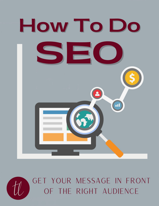



# GET YOUR MESSAGE IN FRONT OF THE RIGHT AUDIENCE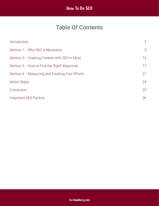## Table Of Contents

| Introduction                                    | $\overline{2}$ |
|-------------------------------------------------|----------------|
| Section $1 -$ Why SEO is Necessary              | 3              |
| Section 2 - Creating Content with SEO in Mind   | 12             |
| Section 3 - How to Find the 'Right' Keywords    | 17             |
| Section 4 - Measuring and Tracking Your Efforts | 21             |
| <b>Action Steps</b>                             | 24             |
| Conclusion                                      | 25             |
| <b>Important SEO Factors</b>                    | 26             |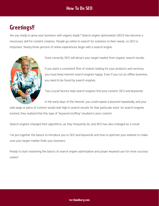## <span id="page-2-0"></span>**Greetings!!**

Are you ready to grow your business with organic leads? Search engine optimization (SEO) has become a necessary skill for content creators. People go online to search for solutions to their needs, so SEO is important. Ninety-three percent of online experiences begin with a search engine.



Done correctly, SEO will attract your target market from organic search results.

If you want a consistent flow of visitors looking for your products and services, you must keep internet search engines happy. Even if you run an offline business, you need to be found by search engines.

Two crucial factors help search engines find your content: SEO and keywords.

In the early days of the internet, you could repeat a keyword repeatedly, and your

web page or piece of content would rank high in search results for that particular word. As search engines evolved, they realized that this type of "keyword stuffing" resulted in poor content.

Search engines changed their algorithms, as they frequently do, and SEO has also changed as a result.

I've put together the basics to introduce you to SEO and keywords and how to optimize your website to make sure your target market finds your business.

Ready to start mastering the basics of search engine optimization and proper keyword use for more success online?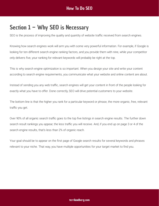## <span id="page-3-0"></span>Section  $1 -$  Why SEO is Necessary

SEO is the process of improving the quality and quantity of website traffic received from search engines.

Knowing how search engines work will arm you with some very powerful information. For example, if Google is looking for ten different search engine ranking factors, and you provide them with nine, while your competitor only delivers five, your ranking for relevant keywords will probably be right at the top.

This is why search engine optimization is so important. When you design your site and write your content according to search engine requirements, you communicate what your website and online content are about.

Instead of sending you any web traffic, search engines will get your content in front of the people looking for exactly what you have to offer. Done correctly, SEO will drive potential customers to your website.

The bottom line is that the higher you rank for a particular keyword or phrase, the more organic, free, relevant traffic you get.

Over 90% of all organic search traffic goes to the top five listings in search engine results. The further down search result rankings you appear, the less traffic you will receive. And, if you end up on page 3 or 4 of the search engine results, that's less than 2% of organic reach.

Your goal should be to appear on the first page of Google search results for several keywords and phrases relevant to your niche. That way, you have multiple opportunities for your target market to find you.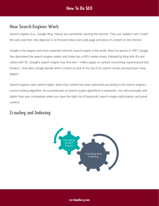### How Search Engines Work

Search engines (e.g., Google, Bing, Yahoo) are constantly roaming the internet. They use "spiders" who "crawl" the web, and their only objective is to find and index every web page and piece of content on the internet.

Google is the largest and most important internet search engine in the world. Since its launch in 1997, Google has dominated the search engine market and today has a 90% market share, followed by Bing with 4% and Yahoo with 3%. Google's search engine may find over 1 million pages or content concerning "squirrel-proof bird feeders." How does Google decide which content to rank at the top of its search results among those many pages?

Search engines rank content higher when that content has been optimized according to the search engine's current ranking algorithm. An essential part of search engine algorithms is keywords. You will eventually rank higher than your competition when you have the right mix of keywords, search engine optimization, and great content.

### Crawling and Indexing

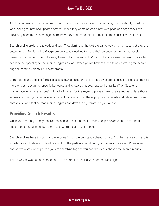All of the information on the internet can be viewed as a spider's web. Search engines constantly crawl the web, looking for new and updated content. When they come across a new web page or a page they have previously seen that has changed somehow, they add that content to their search engine library or index.

Search engine spiders read code and text. They don't read the text the same way a human does, but they are getting close. Providers like Google are constantly working to make their software as human as possible. Meaning your content should be easy to read. It also means HTML and other code used to design your site needs to be appealing to the search engines as well. When you do both of those things correctly, the search engines send you plenty of relevant traffic.

Complicated and detailed formulas, also known as algorithms, are used by search engines to index content as more or less relevant for specific keywords and keyword phrases. A page that ranks #1 on Google for "homemade lemonade recipes" will not be indexed for the keyword phrase "how to raise zebras" unless those zebras are drinking homemade lemonade. This is why using the appropriate keywords and related words and phrases is important so that search engines can drive the right traffic to your website.

### Providing Search Results

When you search, you may receive thousands of search results. Many people never venture past the first page of those results. In fact, 93% never venture past the first page.

Search engines have to scour all the information on the constantly changing web. And then list search results in order of most relevant to least relevant for the particular word, term, or phrase you entered. Change just one or two words in the phrase you are searching for, and you can drastically change the search results.

This is why keywords and phrases are so important in helping your content rank high.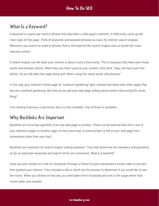### What Is a Keyword?

A keyword is a particular word or phrase that describes a web page's contents. It effectively sums up the main topic of that page. Think of keywords and keyword phrases as clues for internet search engines. Whenever you search on word or phrase, that is the keyword the search engine uses to locate the most relevant content.

A search engine can tell what your content is about in just a few words. This is because they have seen those words and phrases before. When they see them used on your content, they think, "Okay, we have seen this before. So we will index this page along with others using the same words and phrases."

In this way, your website's home page on "rosebush gardening" gets indexed and listed with other pages that discuss rosebush gardening. But how do you get your web page ranking above others discussing the same thing?

Your ranking improves or plummets due to a few variables. One of those is backlinks.

### Why Backlinks Are Important

Backlinks are incoming hyperlinks from one web page to another. These can be internal links (from one of your website's pages to another page on that same site) or external links (a link to your web page from somewhere other than your site).

Backlinks are important for search engine ranking purposes. They help determine the relevancy and popularity as far as particular keywords and search terms are concerned. What is a backlink?

Have you ever clicked on a link on Facebook? Perhaps a friend of yours mentioned a movie trailer or preview that sparked your interest. They included a link to check out the preview to determine if you would like to see the movie. When you clicked on that link, you were taken from Facebook and sent to the page where that movie trailer was located.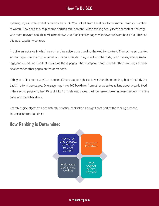By doing so, you create what is called a backlink. You "linked" from Facebook to the movie trailer you wanted to watch. How does this help search engines rank content? When ranking nearly identical content, the page with more relevant backlinks will almost always outrank similar pages with fewer relevant backlinks. Think of this as a popularity contest.

Imagine an instance in which search engine spiders are crawling the web for content. They come across two similar pages discussing the benefits of organic foods. They check out the code, text, images, videos, metatags, and everything else that makes up those pages. They compare what is found with the rankings already developed for other pages on the same topic.

If they can't find some way to rank one of those pages higher or lower than the other, they begin to study the backlinks for those pages. One page may have 100 backlinks from other websites talking about organic food. If the second page only has 20 backlinks from relevant pages, it will be ranked lower in search results than the page with more backlinks.

Search engine algorithms consistently prioritize backlinks as a significant part of the ranking process, including internal backlinks.



### How Ranking is Determined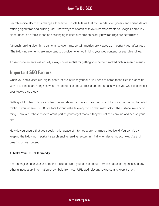Search engine algorithms change all the time. Google tells us that thousands of engineers and scientists are refining algorithms and building useful new ways to search, with 3234 improvements to Google Search in 2018 alone. Because of this, it can be challenging to keep a handle on exactly how rankings are determined.

Although ranking algorithms can change over time, certain metrics are viewed as important year after year. The following elements are important to consider when optimizing your web content for search engines:

Those four elements will virtually always be essential for getting your content ranked high in search results.

#### Important SEO Factors

When you add a video clip, digital photo, or audio file to your site, you need to name those files in a specific way to tell the search engines what that content is about. This is another area in which you want to consider your keyword strategy.

Getting a lot of traffic to your online content should not be your goal. You should focus on attracting targeted traffic. If you receive 100,000 visitors to your website every month, that may look on the surface like a good thing. However, if those visitors aren't part of your target market, they will not stick around and peruse your site.

How do you ensure that you speak the language of internet search engines effectively? You do this by keeping the following important search engine ranking factors in mind when designing your website and creating online content.

#### **1. Make Your URL SEO-friendly**

Search engines use your URL to find a clue on what your site is about. Remove dates, categories, and any other unnecessary information or symbols from your URL, add relevant keywords and keep it short.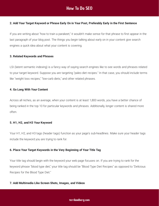#### **2. Add Your Target Keyword or Phrase Early On in Your Post, Preferably Early in the First Sentence**

If you are writing about "how to train a parakeet," it wouldn't make sense for that phrase to first appear in the last paragraph of your blog post. The things you begin talking about early on in your content give search engines a quick idea about what your content is covering.

#### **3. Related Keywords and Phrases**

LSI (latent semantic indexing) is a fancy way of saying search engines like to see words and phrases related to your target keyword. Suppose you are targeting "paleo diet recipes." In that case, you should include terms like "weight loss recipes," "low-carb diets," and other related phrases.

#### **4. Go Long With Your Content**

Across all niches, as an average, when your content is at least 1,800 words, you have a better chance of being ranked in the top 10 for particular keywords and phrases. Additionally, longer content is shared more often.

#### **5. H1, H2, and H3 Your Keyword**

Your H1, H2, and H3 tags (header tags) function as your page's sub-headlines. Make sure your header tags include the keyword you are trying to rank for.

#### **6. Place Your Target Keywords in the Very Beginning of Your Title Tag**

Your title tag should begin with the keyword your web page focuses on. If you are trying to rank for the keyword phrase "blood type diet," your title tag should be "Blood Type Diet Recipes" as opposed to "Delicious Recipes for the Blood Type Diet."

#### **7. Add Multimedia Like Screen Shots, Images, and Videos**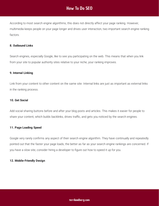According to most search engine algorithms, this does not directly affect your page ranking. However, multimedia keeps people on your page longer and drives user interaction, two important search engine ranking factors.

#### **8. Outbound Links**

Search engines, especially Google, like to see you participating on the web. This means that when you link from your site to popular authority sites relative to your niche, your ranking improves.

#### **9. Internal Linking**

Link from your content to other content on the same site. Internal links are just as important as external links in the ranking process.

#### **10. Get Social**

Add social sharing buttons before and after your blog posts and articles. This makes it easier for people to share your content, which builds backlinks, drives traffic, and gets you noticed by the search engines.

#### **11. Page Loading Speed**

Google very rarely confirms any aspect of their search engine algorithm. They have continually and repeatedly pointed out that the faster your page loads, the better as far as your search engine rankings are concerned. If you have a slow site, consider hiring a developer to figure out how to speed it up for you.

#### **12. Mobile-Friendly Design**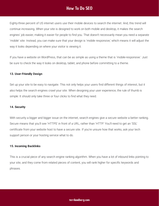Eighty-three percent of US internet users use their mobile devices to search the internet. And, this trend will continue increasing. When your site is designed to work on both mobile and desktop, it makes the search engines' job easier, making it easier for people to find you. That doesn't necessarily mean you need a separate 'mobile' site. Instead, you can make sure that your design is 'mobile responsive,' which means it will adjust the way it looks depending on where your visitor is viewing it.

If you have a website on WordPress, that can be as simple as using a theme that is 'mobile-responsive.' Just be sure to check the way it looks on desktop, tablet, and phone before committing to a theme.

#### **13. User-Friendly Design**

Set up your site to be easy to navigate. This not only helps your users find different things of interest, but it also helps the search engines crawl your site. When designing your user experience, the rule of thumb is simple: It should only take three or four clicks to find what they need.

#### **14. Security**

With security a bigger and bigger issue on the internet, search engines give a secure website a better ranking. Secure means that you'll see 'HTTPS' in front of a URL, rather than 'HTTP.' You'll need to get an 'SSL' certificate from your website host to have a secure site. If you're unsure how that works, ask your tech support person or your hosting service what to do.

#### **15. Incoming Backlinks**

This is a crucial piece of any search engine ranking algorithm. When you have a lot of inbound links pointing to your site, and they come from related pieces of content, you will rank higher for specific keywords and phrases.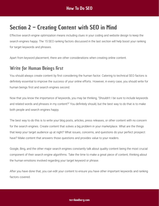## <span id="page-12-0"></span>Section  $2$  – Creating Content with SEO in Mind

Effective search engine optimization means including clues in your coding and website design to keep the search engines happy. The 15 SEO ranking factors discussed in the last section will help boost your ranking for target keywords and phrases.

Apart from keyword placement, there are other considerations when creating online content.

### **Write for Human Beings First**

You should always create content by first considering the human factor. Catering to technical SEO factors is definitely essential to improve the success of your online efforts. However, in every case, you should write for human beings first and search engines second.

Now that you know the importance of keywords, you may be thinking, "Shouldn't I be sure to include keywords and related words and phrases in my content?" You definitely should, but the best way to do that is to make both people and search engines happy.

The best way to do this is to write your blog posts, articles, press releases, or other content with no concern for the search engines. Create content that solves a big problem in your marketplace. What are the things that keep your target audience up at night? What issues, concerns, and questions do your perfect prospect have? Make content that answers those questions and provides value to your readers.

Google, Bing, and the other major search engines constantly talk about quality content being the most crucial component of their search engine algorithms. Take the time to make a great piece of content, thinking about the human emotions involved regarding your target keyword or phrase.

After you have done that, you can edit your content to ensure you have other important keywords and ranking factors covered.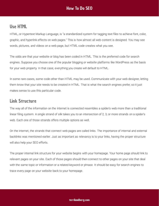### Use HTML

HTML, or Hypertext Markup Language, is "a standardized system for tagging text files to achieve font, color, graphic, and hyperlink effects on web pages." This is how almost all web content is designed. You may see words, pictures, and videos on a web page, but HTML code creates what you see.

The odds are that your website or blog has been coded in HTML. This is the preferred code for search engines. Suppose you choose one of the popular blogging or website platforms like WordPress as the basis for your web property. In that case, everything you create will default to HTML.

In some rare cases, some code other than HTML may be used. Communicate with your web designer, letting them know that your site needs to be created in HTML. That is what the search engines prefer, so it just makes sense to use this particular code.

#### Link Structure

The way all of the information on the internet is connected resembles a spider's web more than a traditional linear filing system. A single strand of silk takes you to an intersection of 2, 3, or more strands on a spider's web. Each one of those strands offers multiple options as well.

On the internet, the strands that connect web pages are called links. The importance of internal and external backlinks was mentioned earlier. Just as important as relevancy is to your links, having the proper structure will also help your SEO efforts.

The proper internal link structure for your website begins with your homepage. Your home page should link to relevant pages on your site. Each of those pages should then connect to other pages on your site that deal with the same topic or information or a related keyword or phrase. It should be easy for search engines to trace every page on your website back to your homepage.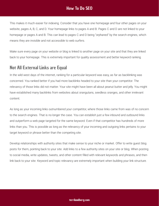This makes it much easier for indexing. Consider that you have one homepage and four other pages on your website, pages A, B, C, and D. Your homepage links to pages A and B. Pages C and D are not linked to your homepage or pages A and B. This can lead to pages C and D being "orphaned" by the search engines, which means they are invisible and not accessible to web surfers.

Make sure every page on your website or blog is linked to another page on your site and that they are linked back to your homepage. This is extremely important for quality assessment and better keyword ranking.

### Not All External Links are Equal

In the wild west days of the internet, ranking for a particular keyword was easy, as far as backlinking was concerned. You ranked better if you had more backlinks headed to your site than your competitor. The relevancy of those links did not matter. Your site might have been all about peanut butter and jelly. You might have established many backlinks from websites about orangutans, seedless oranges, and other irrelevant content.

As long as your incoming links outnumbered your competitor, where those links came from was of no concern to the search engines. That is no longer the case. You can establish just a few inbound and outbound links and outperform a web page targeted for the same keyword. Even if that competitor has hundreds of more links than you. This is possible as long as the relevancy of your incoming and outgoing links pertains to your target keyword or phrase better than the competing site.

Develop relationships with authority sites that make sense to your niche or market. Offer to write guest blog posts for them, pointing back to your site. Add links to a few authority sites on your site or blog. When posting to social media, write updates, tweets, and other content filled with relevant keywords and phrases, and then link back to your site. Keyword and topic relevancy are extremely important when building your link structure.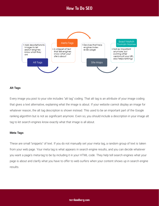

#### **Alt Tags**

Every image you post to your site includes "alt tag" coding. That alt tag is an attribute of your image coding that gives a text alternative, explaining what the image is about. If your website cannot display an image for whatever reason, the alt tag description is shown instead. This used to be an important part of the Google ranking algorithm but is not as significant anymore. Even so, you should include a description in your image alt tag to let search engines know exactly what that image is all about.

#### **Meta Tags**

These are small "snippets" of text. If you do not manually set your meta tag, a random group of text is taken from your web page. Your meta tag is what appears in search engine results, and you can decide whatever you want a page's meta-tag to be by including it in your HTML code. They help tell search engines what your page is about and clarify what you have to offer to web surfers when your content shows up in search engine results.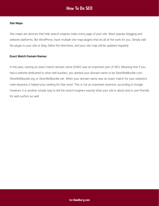#### **Site Maps**

Site maps are devices that help search engines index every page of your site. Most popular blogging and website platforms, like WordPress, have multiple site map plugins that do all of the work for you. Simply add the plugin to your site or blog, follow the directions, and your site map will be updated regularly.

#### **Exact Match Domain Names**

In the past, owning an exact match domain name (EMD) was an important part of SEO. Meaning that if you had a website dedicated to silver belt buckles, you wanted your domain name to be SilverBeltBuckle.com, SilverBeltBuckle.org, or SilverBeltBuckle.net. When your domain name was an exact match for your website's main keyword, it helped your ranking for that word. This is not as important anymore, according to Google. However, it is another simple way to tell the search engines exactly what your site is about and is user-friendly for web surfers as well.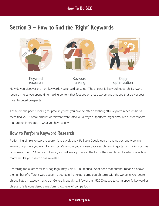## <span id="page-17-0"></span>Section  $3$  – How to Find the 'Right' Keywords



Keyword research Keyword ranking

Copy optimization

How do you discover the right keywords you should be using? The answer is keyword research. Keyword research helps you spend time making content that focuses on those words and phrases that deliver your most targeted prospects.

These are the people looking for precisely what you have to offer, and thoughtful keyword research helps them find you. A small amount of relevant web traffic will always outperform larger amounts of web visitors that are not interested in what you have to say.

### How to Perform Keyword Research

Performing simple keyword research is relatively easy. Pull up a Google search engine box, and type in a keyword or phrase you want to rank for. Make sure you enclose your search term in quotation marks, such as "your search term." After you hit enter, you will see a phrase at the top of the search results which says how many results your search has revealed.

Searching for "custom military dog tags" may yield 40,000 results. What does that number mean? It shows the number of different web pages that contain that exact same search term, with the words in your search phrase listed in exactly that order. Generally speaking, if fewer than 50,000 pages target a specific keyword or phrase, this is considered a medium to low level of competition.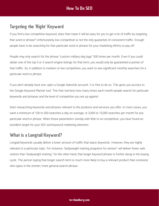### Targeting the 'Right' Keyword

If you find a low competition keyword, does that mean it will be easy for you to get a lot of traffic by targeting that word or phrase? Unfortunately, low competition is not the only guarantee of consistent traffic. Enough people have to be searching for that particular word or phrase for your marketing efforts to pay off.

People may only search for the phrase "custom military dog tags" 500 times per month. Even if you could obtain one of the top 3 or 5 search engine listings for that term, you would only be guaranteed a portion of that traffic. So, in addition to medium or low competition, you want to see significant monthly searches for a particular word or phrase.

If you don't already have one, open a Google Adwords account. It is free to do so. This gives you access to the Google Keyword Planner tool. This free tool lists how many times each month people search for particular keywords and phrases and the level of competition you are up against.

Start researching keywords and phrases relevant to the products and services you offer. In most cases, you want a minimum of 100 to 500 searches a day on average, or 3,000 to 15,000 searches per month for any particular word or phrase. When those parameters overlap with little to no competition, you have found an excellent target for your SEO and keyword marketing attention.

### What is a Longtail Keyword?

Longtail keywords usually deliver a lower amount of traffic than basic keywords. However, they are highly relevant to a particular topic. For instance, "bodyweight training programs for seniors" will deliver fewer web visitors than "bodyweight training." On the other hand, that longer keyword phrase is further along in the buying cycle. The person typing that longer search term is much more likely to buy a relevant product than someone who types in the shorter, more general search phrase.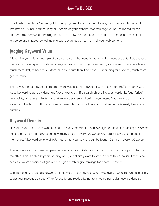People who search for "bodyweight training programs for seniors" are looking for a very specific piece of information. By including that longtail keyword on your website, that web page will still be ranked for the shorter-term, "bodyweight training," but will also draw the more specific traffic. Be sure to include longtail keywords and phrases, as well as shorter, relevant search terms, in all your web content.

### Judging Keyword Value

A longtail keyword is an example of a search phrase that usually has a small amount of traffic. But, because the keyword is so specific, it delivers targeted traffic to which you can tailor your content. These people are much more likely to become customers in the future than if someone is searching for a shorter, much more general term.

That is why longtail keywords are often more valuable than keywords with much more traffic. Another way to judge keyword value is by identifying "buyer keywords." If a search phrase includes words like "buy," "price," "availability," or other similar terms, that keyword phrase is showing buyer intent. You can end up with more sales from low traffic with these types of search terms since they show that someone is ready to make a purchase.

### Keyword Density

How often you use your keywords used to be very important to achieve high search engine rankings. Keyword density is the term that expresses how many times in every 100 words your target keyword or phrase is mentioned. A keyword density of 10% means that your keyword can be found 10 times in every 100 words.

These days search engines will penalize you or refuse to index your content if you mention a particular word too often. This is called keyword stuffing, and you definitely want to steer clear of this behavior. There is no secret keyword density that guarantees high search engine rankings for a particular term.

Generally speaking, using a keyword, related word, or synonym once or twice every 100 to 150 words is plenty to get your message across. Write for quality and readability, not to hit some particular keyword density.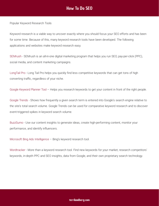Popular Keyword Research Tools

Keyword research is a viable way to uncover exactly where you should focus your SEO efforts and has been for some time. Because of this, many keyword research tools have been developed. The following applications and websites make keyword research easy.

[SEMrush](https://www.semrush.com/) - SEMrush is an all-in-one digital marketing program that helps you run SEO, pay-per-click (PPC), social media, and content marketing campaigns.

[LongTail Pro](https://longtailpro.com/) - Long Tail Pro helps you quickly find less competitive keywords that can get tons of high converting traffic, regardless of your niche.

[Google Keyword Planner Tool](https://adwords.google.com/KeywordPlanner) – Helps you research keywords to get your content in front of the right people.

[Google Trends](https://trends.google.com/trends/?geo=US) - Shows how frequently a given search term is entered into Google's search engine relative to the site's total search volume. Google Trends can be used for comparative keyword research and to discover event-triggered spikes in keyword search volume.

[BuzzSumo](https://buzzsumo.com/) - Use our content insights to generate ideas, create high-performing content, monitor your performance, and identify influencers.

[Microsoft Bing Ads Intelligence](https://about.ads.microsoft.com/en-us/solutions/tools/keyword-planner) – Bing's keyword research tool.

[Wordtracker](https://www.wordtracker.com/) - More than a keyword research tool. Find new keywords for your market, research competitors' keywords, in-depth PPC and SEO insights, data from Google, and their own proprietary search technology.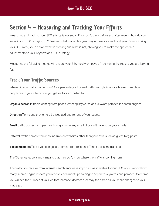## <span id="page-21-0"></span>Section 4 - Measuring and Tracking Your Efforts

Measuring and tracking your SEO efforts is essential. If you don't track before and after results, how do you know if your SEO is paying off? Besides, what works this year may not work as well next year. By monitoring your SEO work, you discover what is working and what is not, allowing you to make the appropriate adjustments to your keyword and SEO strategy.

Measuring the following metrics will ensure your SEO hard work pays off, delivering the results you are looking for.

### **Track Your Traffic Sources**

Where did your traffic come from? As a percentage of overall traffic, Google Analytics breaks down how people reach your site or how you get visitors according to:

**Organic search** is traffic coming from people entering keywords and keyword phrases in search engines.

**Direct** traffic means they entered a web address for one of your pages.

**Email** traffic comes from people clicking a link in any email (it doesn't have to be your emails).

**Referral** traffic comes from inbound links on websites other than your own, such as quest blog posts.

**Social media** traffic, as you can guess, comes from links on different social media sites.

The 'Other' category simply means that they don't know where the traffic is coming from.

The traffic you receive from internet search engines is important as it relates to your SEO work. Record how many search engine visitors you receive each month pertaining to separate keywords and phrases. Over time you will see the number of your visitors increase, decrease, or stay the same as you make changes to your SEO plan.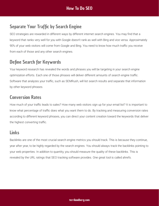### **Separate Your Traffic by Search Engine**

SEO strategies are rewarded in different ways by different internet search engines. You may find that a keyword that ranks very well for you with Google doesn't rank as well with Bing and vice versa. Approximately 90% of your web visitors will come from Google and Bing. You need to know how much traffic you receive from each of those and any other search engines.

### **Define Search for Keywords**

Your keyword research has revealed the words and phrases you will be targeting in your search engine optimization efforts. Each one of those phrases will deliver different amounts of search engine traffic. Software that analyzes your traffic, such as SEMRush, will list search results and separate that information by other keyword phrases.

### Conversion Rates

How much of your traffic leads to sales? How many web visitors sign up for your email list? It is important to know what percentage of traffic does what you want them to do. By tracking and measuring conversion rates according to different keyword phrases, you can direct your content creation toward the keywords that deliver the highest converting traffic.

### Links

Backlinks are one of the most crucial search engine metrics you should track. This is because they continue, year after year, to be highly regarded by the search engines. You should always track the backlinks pointing to your web properties. In addition to quantity, you should measure the quality of these backlinks. This is revealed by the URL ratings that SEO tracking software provides. One great tool is called ahrefs.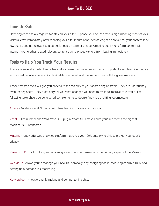### **Time On-Site**

How long does the average visitor stay on your site? Suppose your bounce rate is high, meaning most of your visitors leave immediately after reaching your site. In that case, search engines believe that your content is of low quality and not relevant to a particular search term or phrase. Creating quality long-form content with internal links to other related relevant content can help keep visitors from leaving immediately.

### Tools to Help You Track Your Results

There are several excellent websites and software that measure and record important search engine metrics. You should definitely have a Google Analytics account, and the same is true with Bing Webmasters.

Those two free tools will give you access to the majority of your search engine traffic. They are user-friendly, even for beginners. They practically tell you what changes you need to make to improve your traffic. The following tools should be considered complements to Google Analytics and Bing Webmasters.

[Ahrefs](https://ahrefs.com/) - An all-in-one SEO toolset with free learning materials and support.

 – The number one WordPress SEO plugin, Yoast SEO makes sure your site meets the highest [Yoast](https://yoast.com/wordpress/plugins/seo/) technical SEO standards.

[Matomo](https://matomo.org/) - A powerful web analytics platform that gives you 100% data ownership to protect your user's privacy.

[MajesticSEO](https://majestic.com/) – Link building and analyzing a website's performance is the primary aspect of the Majestic.

[WebMeUp](https://webmeup.com/) - Allows you to manage your backlink campaigns by assigning tasks, recording acquired links, and setting up automatic link monitoring.

[Keyword.com](https://keyword.com/) - Keyword rank tracking and competitor insights.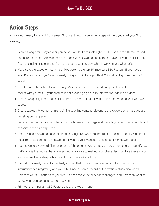## <span id="page-24-0"></span>**Action Steps**

You are now ready to benefit from smart SEO practices. These action steps will help you start your SEO strategy.

- 1. Search Google for a keyword or phrase you would like to rank high for. Click on the top 10 results and compare the pages. Which pages are strong with keywords and phrases, have relevant backlinks, and fresh original, quality content. Compare these pages, review what is working and what isn't.
- 2. Make sure the pages on your site or blog cater to the top 15 Important SEO Factors. If you have a WordPress site, and you're not already using a plugin to help with SEO, install a plugin like the one from Yoast.
- 3. Check your web content for readability. Make sure it is easy to read and provides quality value. Be honest with yourself. If your content is not providing high-quality information, edit it, so it does.
- 4. Create two quality incoming backlinks from authority sites relevant to the content on one of your web pages.
- 5. Create two quality outgoing links, pointing to online content relevant to the keyword or phrase you are targeting on that page.
- . Install a site map on our website or blog. Optimize your alt tags and meta tags to include keywords and associated words and phrases.
- 7. Open a Google Adwords account and use Google Keyword Planner (under Tools) to identify high-traffic, medium to low-competition keywords relevant to your market. Or, select another keyword tool.
- . Use the Google Keyword Planner, or one of the other keyword research tools mentioned, to identify lowtraffic longtail keywords that show someone is close to making a purchase decision. Use these words and phrases to create quality content for your website or blog.
- 9. If you don't already have Google Analytics, set that up now. Create an account and follow the instructions for integrating with your site. Once a month, record all the traffic metrics discussed. Compare your SEO efforts to your results, then make the necessary changes. You'll probably want to set up your own spreadsheet for tracking.
- 10. Print out the Important SEO Factors page, and keep it handy.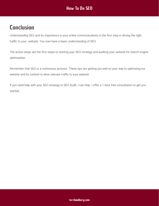## <span id="page-25-0"></span>**Conclusion**

Understanding SEO and its importance in your online communications is the first step in driving the right traffic to your website. You now have a basic understanding of SEO.

The action steps are the first steps to starting your SEO strategy and auditing your website for search engine optimization.

Remember that SEO is a continuous process. These tips are getting you well on your way to optimizing our website and its content to drive relevant traffic to your website.

If you need help with your SEO strategy or SEO Audit, I can help. I offer a 1-hour free consultation to get you started.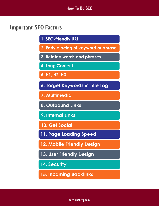### <span id="page-26-0"></span>Important SEO Factors

- 1. SEO-friendly URL
- 2. Early placing of keyword or phrase
- 3. Related words and phrases
- 4. Long Content
- 5. H1, H2, H3
- 6. Target Keywords in Title Tag
- 7. Multimedia
- 8. Outbound Links
- 9. Internal Links
- **10. Get Social**
- 11. Page Loading Speed
- 12. Mobile Friendly Design
- 13. User Friendly Design
- 14. Security
- **15. Incoming Backlinks**